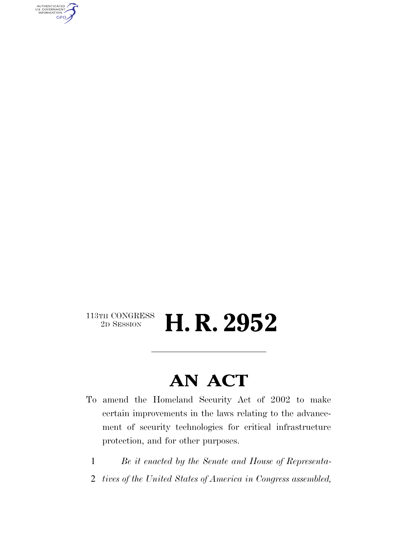AUTHENTICATED<br>U.S. GOVERNMENT<br>INFORMATION GPO

#### $\begin{array}{c} \textbf{113TH CONGRESS} \\ \textbf{2D SESION} \end{array}$ H. R. 2952

## **AN ACT**

- To amend the Homeland Security Act of 2002 to make certain improvements in the laws relating to the advancement of security technologies for critical infrastructure protection, and for other purposes.
	- 1 *Be it enacted by the Senate and House of Representa-*
	- 2 *tives of the United States of America in Congress assembled,*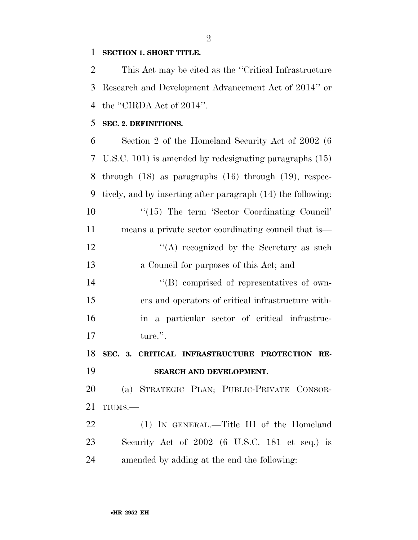#### **SECTION 1. SHORT TITLE.**

 This Act may be cited as the ''Critical Infrastructure Research and Development Advancement Act of 2014'' or 4 the "CIRDA Act of 2014".

#### **SEC. 2. DEFINITIONS.**

 Section 2 of the Homeland Security Act of 2002 (6 U.S.C. 101) is amended by redesignating paragraphs (15) through (18) as paragraphs (16) through (19), respec- tively, and by inserting after paragraph (14) the following: 10 ''(15) The term 'Sector Coordinating Council' means a private sector coordinating council that is—  $\langle (A) \rangle$  recognized by the Secretary as such a Council for purposes of this Act; and  $\langle$  (B) comprised of representatives of own- ers and operators of critical infrastructure with- in a particular sector of critical infrastruc- ture.''. **SEC. 3. CRITICAL INFRASTRUCTURE PROTECTION RE- SEARCH AND DEVELOPMENT.**  (a) STRATEGIC PLAN; PUBLIC-PRIVATE CONSOR- TIUMS.— (1) IN GENERAL.—Title III of the Homeland Security Act of 2002 (6 U.S.C. 181 et seq.) is amended by adding at the end the following: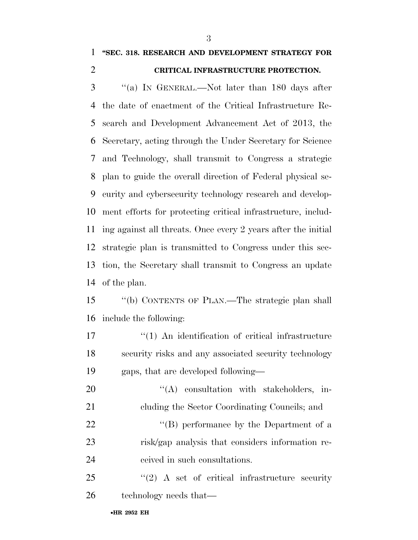#### **''SEC. 318. RESEARCH AND DEVELOPMENT STRATEGY FOR CRITICAL INFRASTRUCTURE PROTECTION.**

 ''(a) IN GENERAL.—Not later than 180 days after the date of enactment of the Critical Infrastructure Re- search and Development Advancement Act of 2013, the Secretary, acting through the Under Secretary for Science and Technology, shall transmit to Congress a strategic plan to guide the overall direction of Federal physical se- curity and cybersecurity technology research and develop- ment efforts for protecting critical infrastructure, includ- ing against all threats. Once every 2 years after the initial strategic plan is transmitted to Congress under this sec- tion, the Secretary shall transmit to Congress an update of the plan.

 ''(b) CONTENTS OF PLAN.—The strategic plan shall include the following:

17 ''(1) An identification of critical infrastructure security risks and any associated security technology gaps, that are developed following—

20 "(A) consultation with stakeholders, in- cluding the Sector Coordinating Councils; and 22 ''(B) performance by the Department of a risk/gap analysis that considers information re-ceived in such consultations.

25 "(2) A set of critical infrastructure security technology needs that—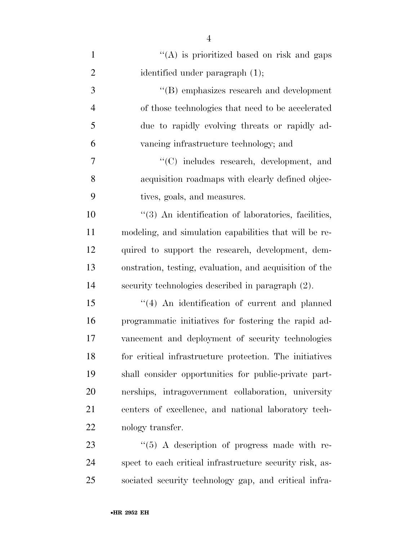| $\mathbf{1}$   | "(A) is prioritized based on risk and gaps               |
|----------------|----------------------------------------------------------|
| $\overline{2}$ | identified under paragraph (1);                          |
| 3              | "(B) emphasizes research and development                 |
| $\overline{4}$ | of those technologies that need to be accelerated        |
| 5              | due to rapidly evolving threats or rapidly ad-           |
| 6              | vancing infrastructure technology; and                   |
| 7              | "(C) includes research, development, and                 |
| 8              | acquisition roadmaps with clearly defined objec-         |
| 9              | tives, goals, and measures.                              |
| 10             | "(3) An identification of laboratories, facilities,      |
| 11             | modeling, and simulation capabilities that will be re-   |
| 12             | quired to support the research, development, dem-        |
| 13             | onstration, testing, evaluation, and acquisition of the  |
| 14             | security technologies described in paragraph (2).        |
| 15             | "(4) An identification of current and planned            |
| 16             | programmatic initiatives for fostering the rapid ad-     |
| 17             | vancement and deployment of security technologies        |
| 18             | for critical infrastructure protection. The initiatives  |
| 19             | shall consider opportunities for public-private part-    |
| 20             | nerships, intragovernment collaboration, university      |
| 21             | centers of excellence, and national laboratory tech-     |
| 22             | nology transfer.                                         |
| 23             | $\lq(5)$ A description of progress made with re-         |
| 24             | spect to each critical infrastructure security risk, as- |

sociated security technology gap, and critical infra-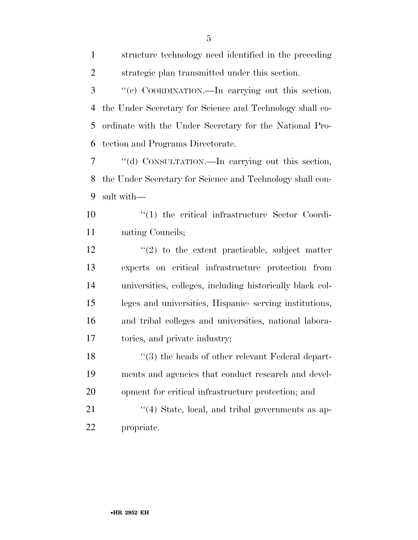| $\mathbf{1}$   | structure technology need identified in the preceding     |
|----------------|-----------------------------------------------------------|
| $\overline{2}$ | strategic plan transmitted under this section.            |
| 3              | "(c) COORDINATION.—In carrying out this section,          |
| 4              | the Under Secretary for Science and Technology shall co-  |
| 5              | ordinate with the Under Secretary for the National Pro-   |
| 6              | tection and Programs Directorate.                         |
| 7              | "(d) CONSULTATION.—In carrying out this section,          |
| 8              | the Under Secretary for Science and Technology shall con- |
| 9              | sult with-                                                |
| 10             | $\lq(1)$ the critical infrastructure Sector Coordi-       |
| 11             | nating Councils;                                          |
| 12             | $\lq(2)$ to the extent practicable, subject matter        |
| 13             | experts on critical infrastructure protection from        |
| 14             | universities, colleges, including historically black col- |
| 15             | leges and universities, Hispanic-serving institutions,    |
| 16             | and tribal colleges and universities, national labora-    |
| 17             | tories, and private industry;                             |
| 18             | $\cdot$ (3) the heads of other relevant Federal depart-   |
| 19             | ments and agencies that conduct research and devel-       |
| 20             | opment for critical infrastructure protection; and        |
| 21             | $\cdot$ (4) State, local, and tribal governments as ap-   |
| 22             | propriate.                                                |
|                |                                                           |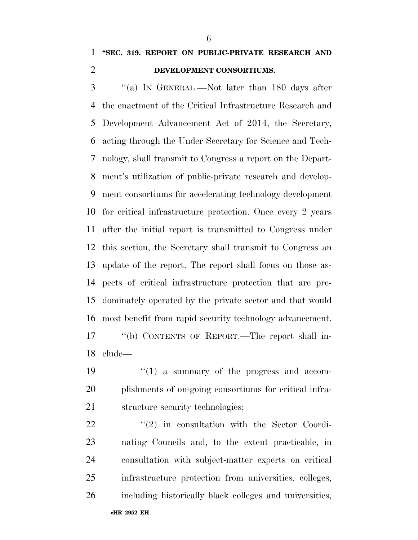### **''SEC. 319. REPORT ON PUBLIC-PRIVATE RESEARCH AND DEVELOPMENT CONSORTIUMS.**

 ''(a) IN GENERAL.—Not later than 180 days after the enactment of the Critical Infrastructure Research and Development Advancement Act of 2014, the Secretary, acting through the Under Secretary for Science and Tech- nology, shall transmit to Congress a report on the Depart- ment's utilization of public-private research and develop- ment consortiums for accelerating technology development for critical infrastructure protection. Once every 2 years after the initial report is transmitted to Congress under this section, the Secretary shall transmit to Congress an update of the report. The report shall focus on those as- pects of critical infrastructure protection that are pre- dominately operated by the private sector and that would most benefit from rapid security technology advancement. ''(b) CONTENTS OF REPORT.—The report shall in-clude—

19  $\frac{1}{2}$  (1) a summary of the progress and accom- plishments of on-going consortiums for critical infra-structure security technologies;

  $(2)$  in consultation with the Sector Coordi- nating Councils and, to the extent practicable, in consultation with subject-matter experts on critical infrastructure protection from universities, colleges, including historically black colleges and universities,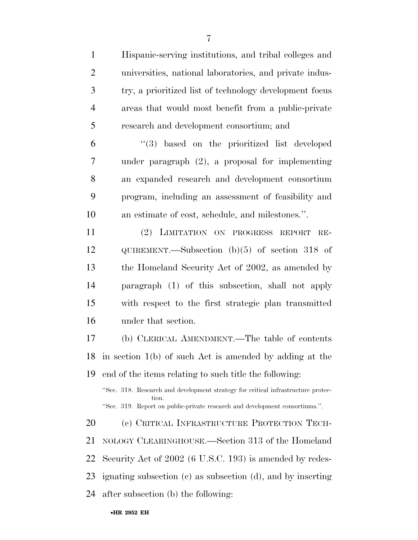| $\mathbf{1}$   | Hispanic-serving institutions, and tribal colleges and                                    |
|----------------|-------------------------------------------------------------------------------------------|
| $\mathfrak{2}$ | universities, national laboratories, and private indus-                                   |
| 3              | try, a prioritized list of technology development focus                                   |
| $\overline{4}$ | areas that would most benefit from a public-private                                       |
| 5              | research and development consortium; and                                                  |
| 6              | "(3) based on the prioritized list developed                                              |
| 7              | under paragraph $(2)$ , a proposal for implementing                                       |
| 8              | an expanded research and development consortium                                           |
| 9              | program, including an assessment of feasibility and                                       |
| 10             | an estimate of cost, schedule, and milestones.".                                          |
| 11             | (2) LIMITATION ON PROGRESS REPORT<br>$RE-$                                                |
| 12             | QUIREMENT.—Subsection $(b)(5)$ of section 318 of                                          |
| 13             | the Homeland Security Act of 2002, as amended by                                          |
| 14             | paragraph (1) of this subsection, shall not apply                                         |
| 15             | with respect to the first strategic plan transmitted                                      |
| 16             | under that section.                                                                       |
| 17             | (b) CLERICAL AMENDMENT.—The table of contents                                             |
|                | 18 in section $1(b)$ of such Act is amended by adding at the                              |
| 19             | end of the items relating to such title the following:                                    |
|                | "Sec. 318. Research and development strategy for critical infrastructure protec-<br>tion. |
|                | "Sec. 319. Report on public-private research and development consortiums.".               |
| 20             | (c) CRITICAL INFRASTRUCTURE PROTECTION TECH-                                              |
| 21             | NOLOGY CLEARINGHOUSE.—Section 313 of the Homeland                                         |
| 22             | Security Act of 2002 (6 U.S.C. 193) is amended by redes-                                  |
| 23             | ignating subsection $(c)$ as subsection $(d)$ , and by inserting                          |
| 24             | after subsection (b) the following:                                                       |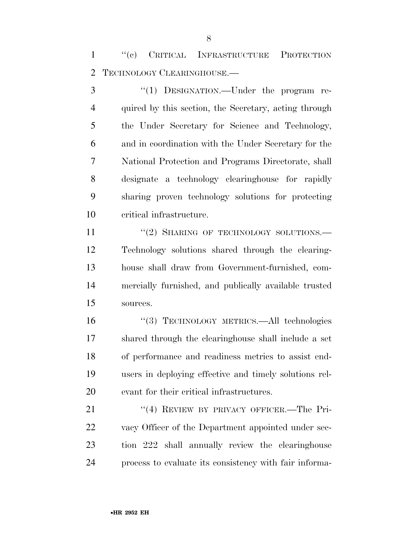''(c) CRITICAL INFRASTRUCTURE PROTECTION TECHNOLOGY CLEARINGHOUSE.—

3 "(1) DESIGNATION.—Under the program re- quired by this section, the Secretary, acting through the Under Secretary for Science and Technology, and in coordination with the Under Secretary for the National Protection and Programs Directorate, shall designate a technology clearinghouse for rapidly sharing proven technology solutions for protecting critical infrastructure.

11 "(2) SHARING OF TECHNOLOGY SOLUTIONS.— Technology solutions shared through the clearing- house shall draw from Government-furnished, com- mercially furnished, and publically available trusted sources.

 ''(3) TECHNOLOGY METRICS.—All technologies shared through the clearinghouse shall include a set of performance and readiness metrics to assist end- users in deploying effective and timely solutions rel-evant for their critical infrastructures.

21 "(4) REVIEW BY PRIVACY OFFICER.—The Pri-22 vacy Officer of the Department appointed under sec- tion 222 shall annually review the clearinghouse process to evaluate its consistency with fair informa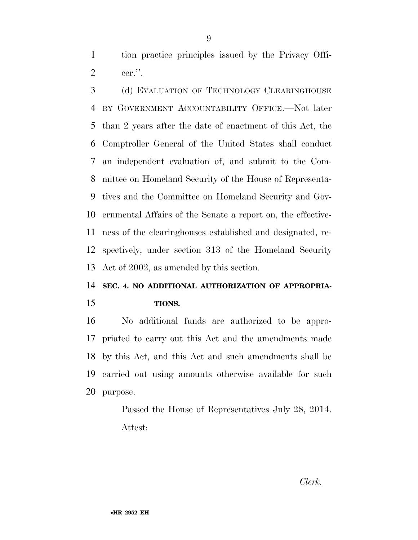tion practice principles issued by the Privacy Offi-cer.''.

 (d) EVALUATION OF TECHNOLOGY CLEARINGHOUSE BY GOVERNMENT ACCOUNTABILITY OFFICE.—Not later than 2 years after the date of enactment of this Act, the Comptroller General of the United States shall conduct an independent evaluation of, and submit to the Com- mittee on Homeland Security of the House of Representa- tives and the Committee on Homeland Security and Gov- ernmental Affairs of the Senate a report on, the effective- ness of the clearinghouses established and designated, re- spectively, under section 313 of the Homeland Security Act of 2002, as amended by this section.

### **SEC. 4. NO ADDITIONAL AUTHORIZATION OF APPROPRIA-TIONS.**

 No additional funds are authorized to be appro- priated to carry out this Act and the amendments made by this Act, and this Act and such amendments shall be carried out using amounts otherwise available for such purpose.

> Passed the House of Representatives July 28, 2014. Attest: